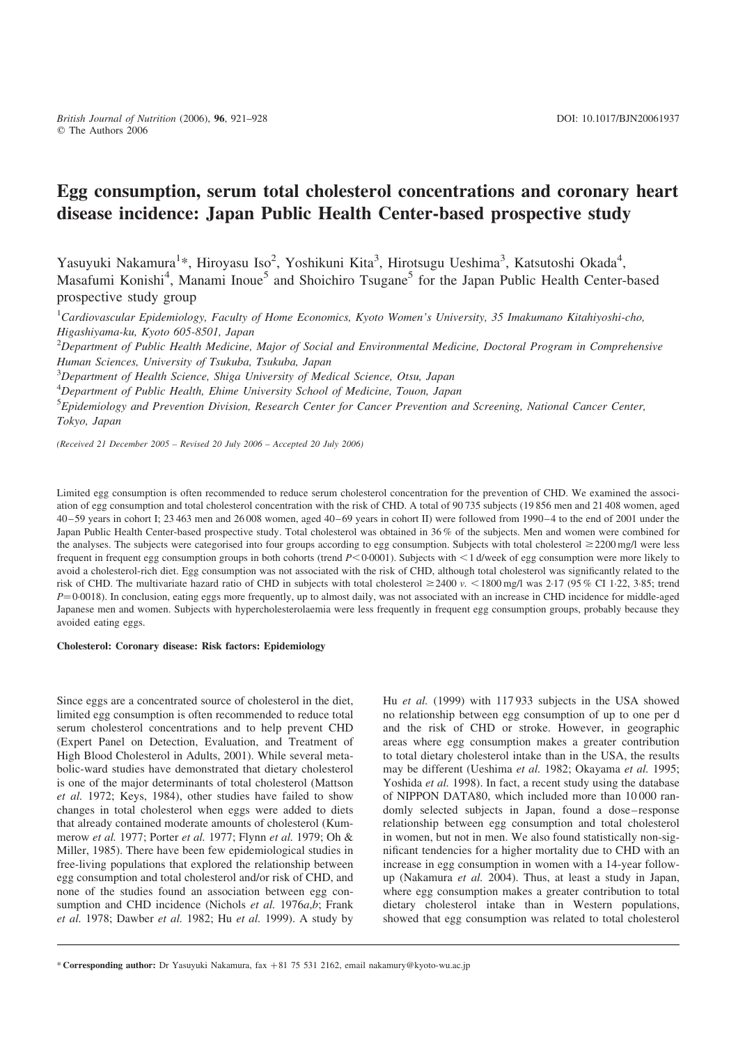# Egg consumption, serum total cholesterol concentrations and coronary heart disease incidence: Japan Public Health Center-based prospective study

Yasuyuki Nakamura<sup>1\*</sup>, Hiroyasu Iso<sup>2</sup>, Yoshikuni Kita<sup>3</sup>, Hirotsugu Ueshima<sup>3</sup>, Katsutoshi Okada<sup>4</sup>, Masafumi Konishi<sup>4</sup>, Manami Inoue<sup>5</sup> and Shoichiro Tsugane<sup>5</sup> for the Japan Public Health Center-based prospective study group

<sup>1</sup>Cardiovascular Epidemiology, Faculty of Home Economics, Kyoto Women's University, 35 Imakumano Kitahiyoshi-cho, Higashiyama-ku, Kyoto 605-8501, Japan

 $^{2}$ Department of Public Health Medicine, Major of Social and Environmental Medicine, Doctoral Program in Comprehensive Human Sciences, University of Tsukuba, Tsukuba, Japan

<sup>3</sup>Department of Health Science, Shiga University of Medical Science, Otsu, Japan

<sup>4</sup>Department of Public Health, Ehime University School of Medicine, Touon, Japan

<sup>5</sup> Epidemiology and Prevention Division, Research Center for Cancer Prevention and Screening, National Cancer Center, Tokyo, Japan

(Received 21 December 2005 – Revised 20 July 2006 – Accepted 20 July 2006)

Limited egg consumption is often recommended to reduce serum cholesterol concentration for the prevention of CHD. We examined the association of egg consumption and total cholesterol concentration with the risk of CHD. A total of 90 735 subjects (19 856 men and 21 408 women, aged 40–59 years in cohort I; 23 463 men and 26 008 women, aged 40–69 years in cohort II) were followed from 1990–4 to the end of 2001 under the Japan Public Health Center-based prospective study. Total cholesterol was obtained in 36 % of the subjects. Men and women were combined for the analyses. The subjects were categorised into four groups according to egg consumption. Subjects with total cholesterol  $\geq$ 2200 mg/l were less frequent in frequent egg consumption groups in both cohorts (trend  $P<0.0001$ ). Subjects with  $\lt 1$  d/week of egg consumption were more likely to avoid a cholesterol-rich diet. Egg consumption was not associated with the risk of CHD, although total cholesterol was significantly related to the risk of CHD. The multivariate hazard ratio of CHD in subjects with total cholesterol  $\geq$ 2400 v.  $\lt$ 1800 mg/l was 2·17 (95 % CI 1·22, 3·85; trend  $P=0.0018$ ). In conclusion, eating eggs more frequently, up to almost daily, was not associated with an increase in CHD incidence for middle-aged Japanese men and women. Subjects with hypercholesterolaemia were less frequently in frequent egg consumption groups, probably because they avoided eating eggs.

#### Cholesterol: Coronary disease: Risk factors: Epidemiology

Since eggs are a concentrated source of cholesterol in the diet, limited egg consumption is often recommended to reduce total serum cholesterol concentrations and to help prevent CHD (Expert Panel on Detection, Evaluation, and Treatment of High Blood Cholesterol in Adults, 2001). While several metabolic-ward studies have demonstrated that dietary cholesterol is one of the major determinants of total cholesterol (Mattson et al. 1972; Keys, 1984), other studies have failed to show changes in total cholesterol when eggs were added to diets that already contained moderate amounts of cholesterol (Kummerow et al. 1977; Porter et al. 1977; Flynn et al. 1979; Oh & Miller, 1985). There have been few epidemiological studies in free-living populations that explored the relationship between egg consumption and total cholesterol and/or risk of CHD, and none of the studies found an association between egg consumption and CHD incidence (Nichols *et al.* 1976*a.b*; Frank et al. 1978; Dawber et al. 1982; Hu et al. 1999). A study by

Hu et al. (1999) with 117 933 subjects in the USA showed no relationship between egg consumption of up to one per d and the risk of CHD or stroke. However, in geographic areas where egg consumption makes a greater contribution to total dietary cholesterol intake than in the USA, the results may be different (Ueshima et al. 1982; Okayama et al. 1995; Yoshida et al. 1998). In fact, a recent study using the database of NIPPON DATA80, which included more than 10 000 randomly selected subjects in Japan, found a dose–response relationship between egg consumption and total cholesterol in women, but not in men. We also found statistically non-significant tendencies for a higher mortality due to CHD with an increase in egg consumption in women with a 14-year followup (Nakamura et al. 2004). Thus, at least a study in Japan, where egg consumption makes a greater contribution to total dietary cholesterol intake than in Western populations, showed that egg consumption was related to total cholesterol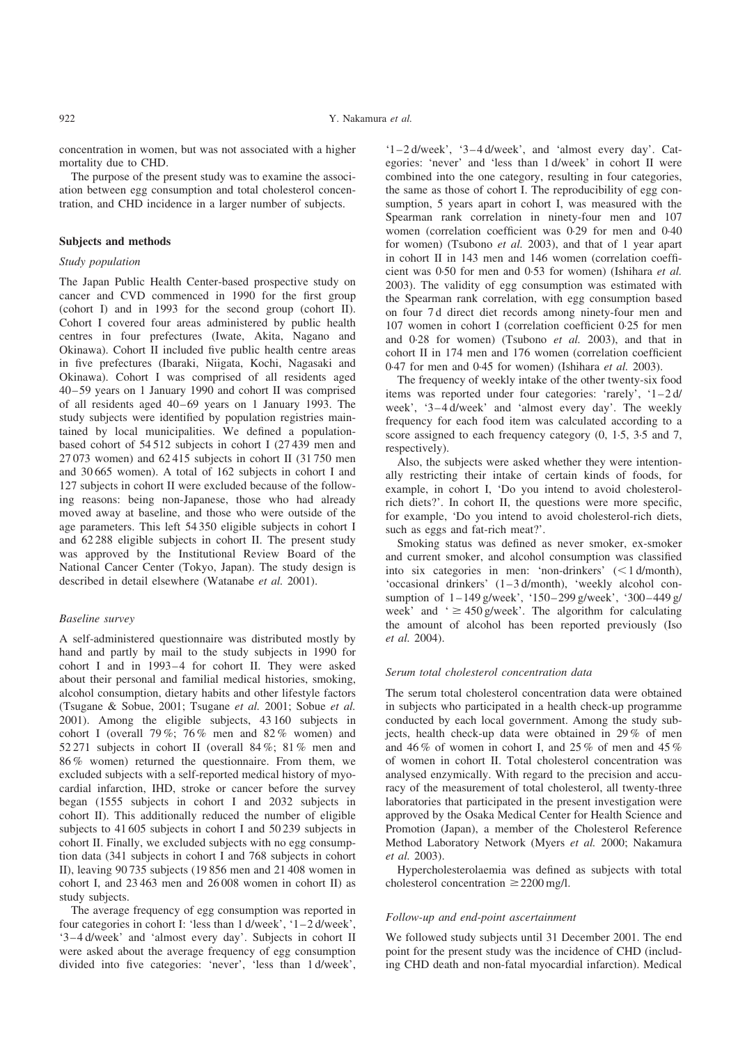concentration in women, but was not associated with a higher mortality due to CHD.

The purpose of the present study was to examine the association between egg consumption and total cholesterol concentration, and CHD incidence in a larger number of subjects.

## Subjects and methods

## Study population

The Japan Public Health Center-based prospective study on cancer and CVD commenced in 1990 for the first group (cohort I) and in 1993 for the second group (cohort II). Cohort I covered four areas administered by public health centres in four prefectures (Iwate, Akita, Nagano and Okinawa). Cohort II included five public health centre areas in five prefectures (Ibaraki, Niigata, Kochi, Nagasaki and Okinawa). Cohort I was comprised of all residents aged 40–59 years on 1 January 1990 and cohort II was comprised of all residents aged 40–69 years on 1 January 1993. The study subjects were identified by population registries maintained by local municipalities. We defined a populationbased cohort of 54 512 subjects in cohort I (27 439 men and 27 073 women) and 62 415 subjects in cohort II (31 750 men and 30 665 women). A total of 162 subjects in cohort I and 127 subjects in cohort II were excluded because of the following reasons: being non-Japanese, those who had already moved away at baseline, and those who were outside of the age parameters. This left 54 350 eligible subjects in cohort I and 62 288 eligible subjects in cohort II. The present study was approved by the Institutional Review Board of the National Cancer Center (Tokyo, Japan). The study design is described in detail elsewhere (Watanabe et al. 2001).

## Baseline survey

A self-administered questionnaire was distributed mostly by hand and partly by mail to the study subjects in 1990 for cohort I and in 1993–4 for cohort II. They were asked about their personal and familial medical histories, smoking, alcohol consumption, dietary habits and other lifestyle factors (Tsugane & Sobue, 2001; Tsugane et al. 2001; Sobue et al. 2001). Among the eligible subjects, 43 160 subjects in cohort I (overall  $79\%$ ;  $76\%$  men and  $82\%$  women) and 52 271 subjects in cohort II (overall 84 %; 81 % men and 86 % women) returned the questionnaire. From them, we excluded subjects with a self-reported medical history of myocardial infarction, IHD, stroke or cancer before the survey began (1555 subjects in cohort I and 2032 subjects in cohort II). This additionally reduced the number of eligible subjects to 41 605 subjects in cohort I and 50 239 subjects in cohort II. Finally, we excluded subjects with no egg consumption data (341 subjects in cohort I and 768 subjects in cohort II), leaving 90 735 subjects (19 856 men and 21 408 women in cohort I, and 23 463 men and 26 008 women in cohort II) as study subjects.

The average frequency of egg consumption was reported in four categories in cohort I: 'less than 1 d/week', '1–2 d/week', '3–4 d/week' and 'almost every day'. Subjects in cohort II were asked about the average frequency of egg consumption divided into five categories: 'never', 'less than 1 d/week',

'1–2 d/week', '3–4 d/week', and 'almost every day'. Categories: 'never' and 'less than 1 d/week' in cohort II were combined into the one category, resulting in four categories, the same as those of cohort I. The reproducibility of egg consumption, 5 years apart in cohort I, was measured with the Spearman rank correlation in ninety-four men and 107 women (correlation coefficient was 0·29 for men and 0·40 for women) (Tsubono et al. 2003), and that of 1 year apart in cohort II in 143 men and 146 women (correlation coefficient was 0·50 for men and 0·53 for women) (Ishihara et al. 2003). The validity of egg consumption was estimated with the Spearman rank correlation, with egg consumption based on four 7 d direct diet records among ninety-four men and 107 women in cohort I (correlation coefficient 0·25 for men and 0·28 for women) (Tsubono et al. 2003), and that in cohort II in 174 men and 176 women (correlation coefficient 0·47 for men and 0·45 for women) (Ishihara et al. 2003).

The frequency of weekly intake of the other twenty-six food items was reported under four categories: 'rarely', '1–2 d/ week', '3–4 d/week' and 'almost every day'. The weekly frequency for each food item was calculated according to a score assigned to each frequency category  $(0, 1.5, 3.5, 3.5)$  and 7, respectively).

Also, the subjects were asked whether they were intentionally restricting their intake of certain kinds of foods, for example, in cohort I, 'Do you intend to avoid cholesterolrich diets?'. In cohort II, the questions were more specific, for example, 'Do you intend to avoid cholesterol-rich diets, such as eggs and fat-rich meat?'.

Smoking status was defined as never smoker, ex-smoker and current smoker, and alcohol consumption was classified into six categories in men: 'non-drinkers'  $\leq 1$  d/month), 'occasional drinkers' (1–3 d/month), 'weekly alcohol consumption of 1–149 g/week', '150–299 g/week', '300–449 g/ week' and  $\leq 450$  g/week'. The algorithm for calculating the amount of alcohol has been reported previously (Iso et al. 2004).

# Serum total cholesterol concentration data

The serum total cholesterol concentration data were obtained in subjects who participated in a health check-up programme conducted by each local government. Among the study subjects, health check-up data were obtained in 29 % of men and 46 % of women in cohort I, and 25 % of men and 45 % of women in cohort II. Total cholesterol concentration was analysed enzymically. With regard to the precision and accuracy of the measurement of total cholesterol, all twenty-three laboratories that participated in the present investigation were approved by the Osaka Medical Center for Health Science and Promotion (Japan), a member of the Cholesterol Reference Method Laboratory Network (Myers et al. 2000; Nakamura et al. 2003).

Hypercholesterolaemia was defined as subjects with total cholesterol concentration  $\geq$  2200 mg/l.

## Follow-up and end-point ascertainment

We followed study subjects until 31 December 2001. The end point for the present study was the incidence of CHD (including CHD death and non-fatal myocardial infarction). Medical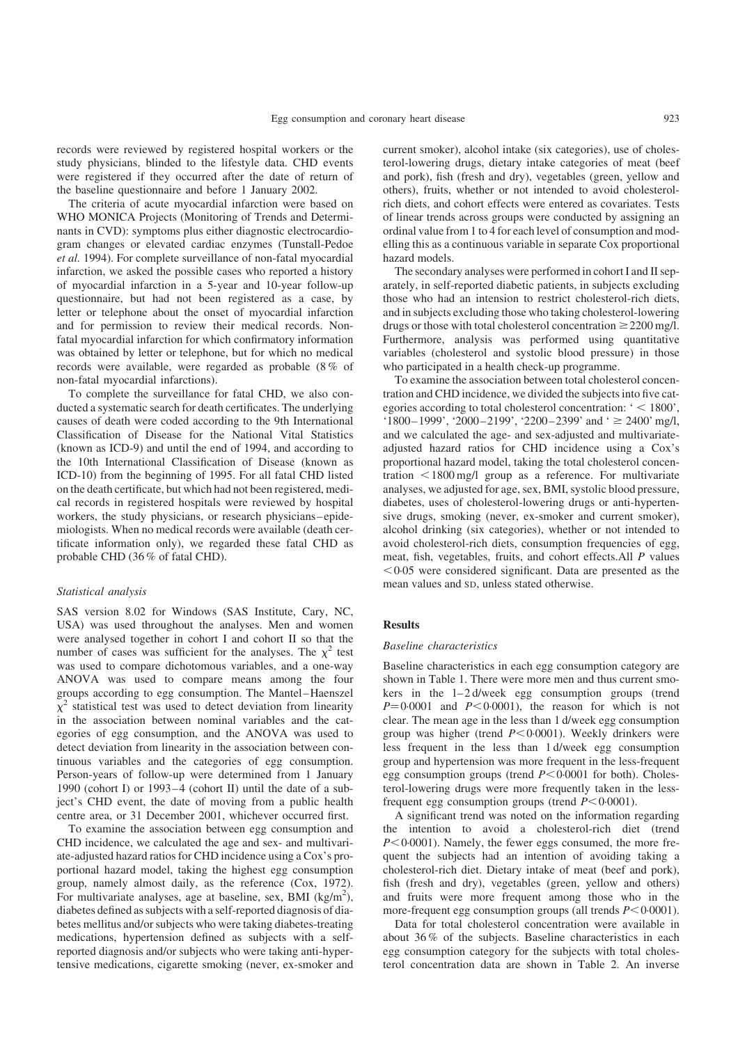records were reviewed by registered hospital workers or the study physicians, blinded to the lifestyle data. CHD events were registered if they occurred after the date of return of the baseline questionnaire and before 1 January 2002.

The criteria of acute myocardial infarction were based on WHO MONICA Projects (Monitoring of Trends and Determinants in CVD): symptoms plus either diagnostic electrocardiogram changes or elevated cardiac enzymes (Tunstall-Pedoe et al. 1994). For complete surveillance of non-fatal myocardial infarction, we asked the possible cases who reported a history of myocardial infarction in a 5-year and 10-year follow-up questionnaire, but had not been registered as a case, by letter or telephone about the onset of myocardial infarction and for permission to review their medical records. Nonfatal myocardial infarction for which confirmatory information was obtained by letter or telephone, but for which no medical records were available, were regarded as probable (8 % of non-fatal myocardial infarctions).

To complete the surveillance for fatal CHD, we also conducted a systematic search for death certificates. The underlying causes of death were coded according to the 9th International Classification of Disease for the National Vital Statistics (known as ICD-9) and until the end of 1994, and according to the 10th International Classification of Disease (known as ICD-10) from the beginning of 1995. For all fatal CHD listed on the death certificate, but which had not been registered, medical records in registered hospitals were reviewed by hospital workers, the study physicians, or research physicians–epidemiologists. When no medical records were available (death certificate information only), we regarded these fatal CHD as probable CHD (36 % of fatal CHD).

## Statistical analysis

SAS version 8.02 for Windows (SAS Institute, Cary, NC, USA) was used throughout the analyses. Men and women were analysed together in cohort I and cohort II so that the number of cases was sufficient for the analyses. The  $\chi^2$  test was used to compare dichotomous variables, and a one-way ANOVA was used to compare means among the four groups according to egg consumption. The Mantel–Haenszel  $\chi^2$  statistical test was used to detect deviation from linearity in the association between nominal variables and the categories of egg consumption, and the ANOVA was used to detect deviation from linearity in the association between continuous variables and the categories of egg consumption. Person-years of follow-up were determined from 1 January 1990 (cohort I) or 1993–4 (cohort II) until the date of a subject's CHD event, the date of moving from a public health centre area, or 31 December 2001, whichever occurred first.

To examine the association between egg consumption and CHD incidence, we calculated the age and sex- and multivariate-adjusted hazard ratios for CHD incidence using a Cox's proportional hazard model, taking the highest egg consumption group, namely almost daily, as the reference (Cox, 1972). For multivariate analyses, age at baseline, sex, BMI  $(kg/m<sup>2</sup>)$ , diabetes defined as subjects with a self-reported diagnosis of diabetes mellitus and/or subjects who were taking diabetes-treating medications, hypertension defined as subjects with a selfreported diagnosis and/or subjects who were taking anti-hypertensive medications, cigarette smoking (never, ex-smoker and current smoker), alcohol intake (six categories), use of cholesterol-lowering drugs, dietary intake categories of meat (beef and pork), fish (fresh and dry), vegetables (green, yellow and others), fruits, whether or not intended to avoid cholesterolrich diets, and cohort effects were entered as covariates. Tests of linear trends across groups were conducted by assigning an ordinal value from 1 to 4 for each level of consumption and modelling this as a continuous variable in separate Cox proportional hazard models.

The secondary analyses were performed in cohort I and II separately, in self-reported diabetic patients, in subjects excluding those who had an intension to restrict cholesterol-rich diets, and in subjects excluding those who taking cholesterol-lowering drugs or those with total cholesterol concentration  $\geq$  2200 mg/l. Furthermore, analysis was performed using quantitative variables (cholesterol and systolic blood pressure) in those who participated in a health check-up programme.

To examine the association between total cholesterol concentration and CHD incidence, we divided the subjects into five categories according to total cholesterol concentration:  $\leq 1800$ . '1800–1999', '2000–2199', '2200–2399' and '  $\geq$  2400' mg/l, and we calculated the age- and sex-adjusted and multivariateadjusted hazard ratios for CHD incidence using a Cox's proportional hazard model, taking the total cholesterol concentration  $\leq 1800$  mg/l group as a reference. For multivariate analyses, we adjusted for age, sex, BMI, systolic blood pressure, diabetes, uses of cholesterol-lowering drugs or anti-hypertensive drugs, smoking (never, ex-smoker and current smoker), alcohol drinking (six categories), whether or not intended to avoid cholesterol-rich diets, consumption frequencies of egg, meat, fish, vegetables, fruits, and cohort effects.All P values  $< 0.05$  were considered significant. Data are presented as the mean values and SD, unless stated otherwise.

#### Results

#### Baseline characteristics

Baseline characteristics in each egg consumption category are shown in [Table 1.](#page-3-0) There were more men and thus current smokers in the l–2 d/week egg consumption groups (trend  $P=0.0001$  and  $P<0.0001$ , the reason for which is not clear. The mean age in the less than 1 d/week egg consumption group was higher (trend  $P < 0.0001$ ). Weekly drinkers were less frequent in the less than 1 d/week egg consumption group and hypertension was more frequent in the less-frequent egg consumption groups (trend  $P<0.0001$  for both). Cholesterol-lowering drugs were more frequently taken in the lessfrequent egg consumption groups (trend  $P < 0.0001$ ).

A significant trend was noted on the information regarding the intention to avoid a cholesterol-rich diet (trend  $P<0.0001$ ). Namely, the fewer eggs consumed, the more frequent the subjects had an intention of avoiding taking a cholesterol-rich diet. Dietary intake of meat (beef and pork), fish (fresh and dry), vegetables (green, yellow and others) and fruits were more frequent among those who in the more-frequent egg consumption groups (all trends  $P < 0.0001$ ).

Data for total cholesterol concentration were available in about 36 % of the subjects. Baseline characteristics in each egg consumption category for the subjects with total cholesterol concentration data are shown in [Table 2](#page-3-0). An inverse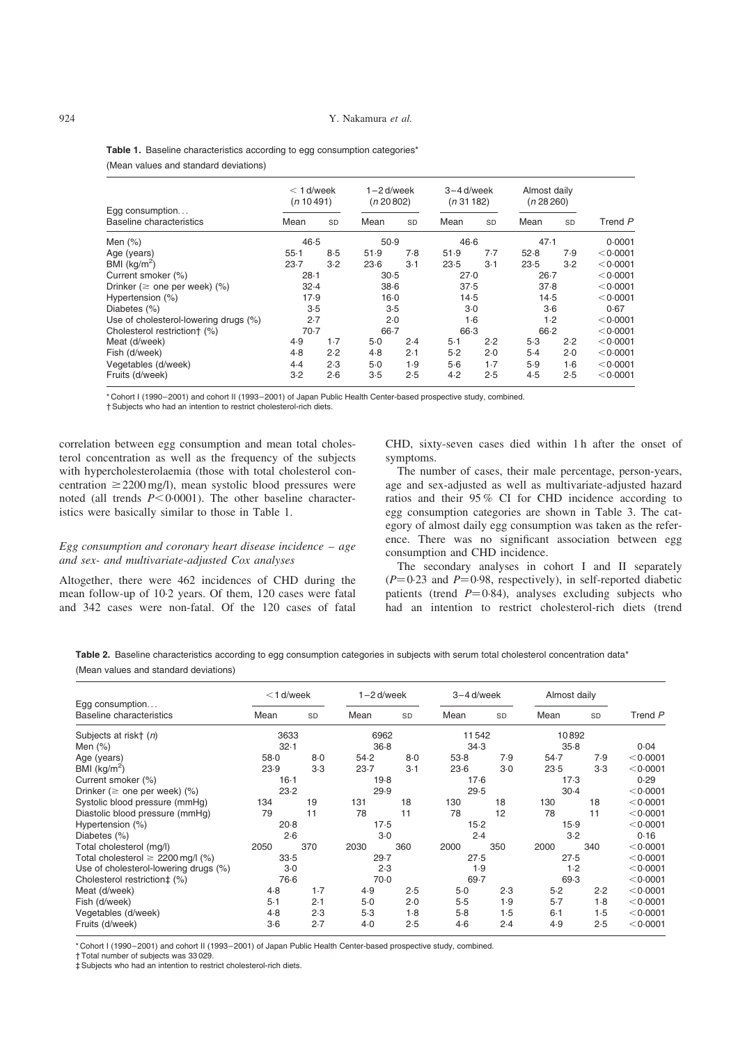| Egg consumption<br><b>Baseline characteristics</b> | $<$ 1 d/week<br>(n 10491) |       | $1 - 2$ d/week<br>(n 20 802) |           | $3 - 4$ d/week<br>(n 31 182) |       | Almost daily<br>(n 28 260) |           |          |  |
|----------------------------------------------------|---------------------------|-------|------------------------------|-----------|------------------------------|-------|----------------------------|-----------|----------|--|
|                                                    | Mean                      | SD    | Mean                         | <b>SD</b> | Mean                         | SD    | Mean                       | <b>SD</b> | Trend P  |  |
| Men (%)                                            | 46.5                      |       | 50.9                         |           | 46.6                         |       | 47.1                       |           | 0.0001   |  |
| Age (years)                                        | $55-1$                    | 8.5   | 51.9                         | 7.8       | 51.9                         | 7.7   | 52.8                       | 7.9       | < 0.0001 |  |
| BMI (kg/m <sup>2</sup> )                           | $23-7$                    | $3-2$ | $23-6$                       | $3-1$     | 23.5                         | $3-1$ | 23.5                       | $3-2$     | < 0.0001 |  |
| Current smoker (%)                                 | $28 - 1$                  |       | 30.5                         |           | 27.0                         |       | $26 - 7$                   |           | < 0.0001 |  |
| Drinker ( $\geq$ one per week) (%)                 | 32.4                      |       | $38-6$                       |           | 37.5                         |       | 37.8                       |           | < 0.0001 |  |
| Hypertension (%)                                   | 17.9                      |       | $16 - 0$                     |           | 14.5                         |       | 14.5                       |           | < 0.0001 |  |
| Diabetes (%)                                       | 3.5                       |       | 3.5                          |           | $3-0$                        |       | $3-6$                      |           | 0.67     |  |
| Use of cholesterol-lowering drugs (%)              | 2.7                       |       | 2.0                          |           | $1-6$                        |       | 1.2                        |           | < 0.0001 |  |
| Cholesterol restriction† (%)                       | $70-7$                    |       | $66 - 7$                     |           | 66.3                         |       | $66 - 2$                   |           | < 0.0001 |  |
| Meat (d/week)                                      | 4.9                       | $1-7$ | $5-0$                        | 2.4       | $5-1$                        | 2.2   | 5.3                        | 2.2       | < 0.0001 |  |
| Fish (d/week)                                      | 4.8                       | 2.2   | 4.8                          | 2.1       | 5.2                          | 2.0   | $5-4$                      | 2.0       | < 0.0001 |  |
| Vegetables (d/week)                                | $4-4$                     | 2.3   | $5-0$                        | 1.9       | 5.6                          | $1-7$ | 5.9                        | $1-6$     | < 0.0001 |  |
| Fruits (d/week)                                    | $3-2$                     | 2.6   | $3-5$                        | 2.5       | 4.2                          | 2.5   | 4.5                        | 2.5       | < 0.0001 |  |

<span id="page-3-0"></span>Table 1. Baseline characteristics according to egg consumption categories\* (Mean values and standard deviations)

\* Cohort I (1990–2001) and cohort II (1993–2001) of Japan Public Health Center-based prospective study, combined.

† Subjects who had an intention to restrict cholesterol-rich diets.

correlation between egg consumption and mean total cholesterol concentration as well as the frequency of the subjects with hypercholesterolaemia (those with total cholesterol concentration  $\geq$  2200 mg/l), mean systolic blood pressures were noted (all trends  $P \le 0.0001$ ). The other baseline characteristics were basically similar to those in Table 1.

# Egg consumption and coronary heart disease incidence  $-$  age and sex- and multivariate-adjusted Cox analyses

Altogether, there were 462 incidences of CHD during the mean follow-up of 10·2 years. Of them, 120 cases were fatal and 342 cases were non-fatal. Of the 120 cases of fatal

CHD, sixty-seven cases died within 1 h after the onset of symptoms.

The number of cases, their male percentage, person-years, age and sex-adjusted as well as multivariate-adjusted hazard ratios and their 95 % CI for CHD incidence according to egg consumption categories are shown in [Table 3](#page-4-0). The category of almost daily egg consumption was taken as the reference. There was no significant association between egg consumption and CHD incidence.

The secondary analyses in cohort I and II separately  $(P=0.23$  and  $P=0.98$ , respectively), in self-reported diabetic patients (trend  $P=0.84$ ), analyses excluding subjects who had an intention to restrict cholesterol-rich diets (trend

Table 2. Baseline characteristics according to egg consumption categories in subjects with serum total cholesterol concentration data\* (Mean values and standard deviations)

|                                             | $<$ 1 d/week |           |        | $1 - 2$ d/week |        | 3-4 d/week |         | Almost daily |          |
|---------------------------------------------|--------------|-----------|--------|----------------|--------|------------|---------|--------------|----------|
| Egg consumption<br>Baseline characteristics | Mean         | <b>SD</b> | Mean   | <b>SD</b>      | Mean   | <b>SD</b>  | Mean    | <b>SD</b>    | Trend P  |
| Subjects at risk† (n)                       | 3633         |           |        | 6962           |        | 11542      |         | 10892        |          |
| Men $(\%)$                                  | 32.1         |           |        | $36 - 8$       |        | 34.3       | 35.8    |              | 0.04     |
| Age (years)                                 | $58 - 0$     | 8.0       | 54.2   | 8.0            | 53.8   | 7.9        | 54.7    | 7.9          | < 0.0001 |
| BMI $(kg/m^2)$                              | 23.9         | 3.3       | 23.7   | $3-1$          | $23-6$ | $3-0$      | 23.5    | 3.3          | < 0.0001 |
| Current smoker (%)                          | $16-1$       |           | 19.8   |                | 17.6   |            | 17.3    |              | 0.29     |
| Drinker ( $\ge$ one per week) (%)           | 23.2         |           | 29.9   |                | 29.5   |            | 30.4    |              | < 0.0001 |
| Systolic blood pressure (mmHq)              | 134          | 19        | 131    | 18             | 130    | 18         | 130     | 18           | < 0.0001 |
| Diastolic blood pressure (mmHg)             | 79           | 11        | 78     | 11             | 78     | 12         | 78      | 11           | < 0.0001 |
| Hypertension (%)                            | 20.8         |           | $17-5$ |                | $15-2$ |            |         | 15.9         |          |
| Diabetes (%)                                |              | 2.6       | $3-0$  |                | 2.4    |            | 3.2     |              | 0.16     |
| Total cholesterol (mg/l)                    | 2050         | 370       | 2030   | 360            | 2000   | 350        | 2000    | 340          | < 0.0001 |
| Total cholesterol $\geq 2200$ mg/l (%)      | 33.5         |           | 29.7   |                | 27.5   |            | 27.5    |              | < 0.0001 |
| Use of cholesterol-lowering drugs (%)       | $3-0$        |           | 2.3    |                | 1.9    |            | 1.2     |              | < 0.0001 |
| Cholesterol restriction‡ (%)                |              | 76.6      | $70-0$ |                | 69.7   |            | 69.3    |              | < 0.0001 |
| Meat (d/week)                               | 4.8          | $1-7$     | 4.9    | 2.5            | $5-0$  | 2.3        | 5.2     | 2.2          | < 0.0001 |
| Fish (d/week)                               | $5 - 1$      | 2.1       | $5-0$  | 2.0            | 5.5    | 1.9        | $5-7$   | $1-8$        | < 0.0001 |
| Vegetables (d/week)                         | 4.8          | 2.3       | 5.3    | 1.8            | $5-8$  | 1.5        | $6 - 1$ | 1.5          | < 0.0001 |
| Fruits (d/week)                             | $3-6$        | 2.7       | 4.0    | 2.5            | 4.6    | 2.4        | 4.9     | 2.5          | < 0.0001 |

\* Cohort I (1990–2001) and cohort II (1993–2001) of Japan Public Health Center-based prospective study, combined.

† Total number of subjects was 33 029.

‡ Subjects who had an intention to restrict cholesterol-rich diets.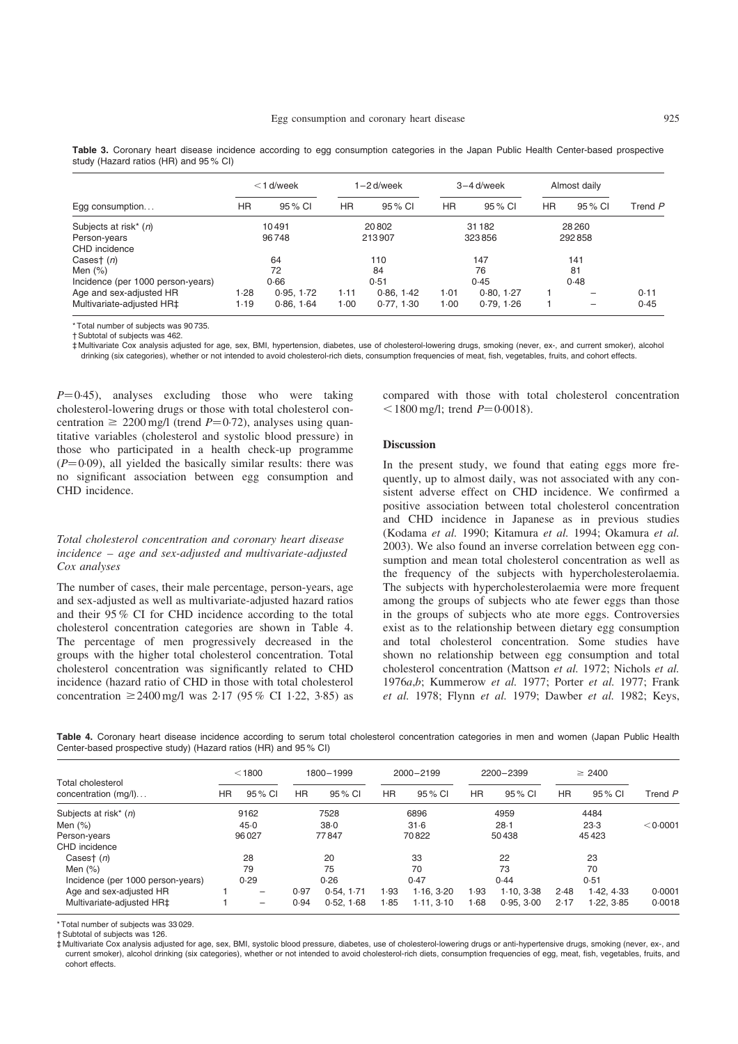|                                   | $<$ 1 d/week |            |        | 1-2 d/week |        | $3-4$ d/week | Almost daily |         |         |  |
|-----------------------------------|--------------|------------|--------|------------|--------|--------------|--------------|---------|---------|--|
| Egg consumption                   | ΗR           | 95 % CI    | HR.    | 95 % CI    | HR.    | 95 % CI      | HR           | 95 % CI | Trend P |  |
| Subjects at risk* (n)             | 10491        |            |        | 20802      |        | 31 182       | 28260        |         |         |  |
| Person-years                      | 96748        |            | 213907 |            | 323856 |              | 292858       |         |         |  |
| CHD incidence                     |              |            |        |            |        |              |              |         |         |  |
| Casest $(n)$                      | 64           |            | 110    |            | 147    |              | 141          |         |         |  |
| Men $(\%)$                        | 72           |            | 84     |            | 76     |              | 81           |         |         |  |
| Incidence (per 1000 person-years) | 0.66         |            | 0.51   |            | 0.45   |              | 0.48         |         |         |  |
| Age and sex-adjusted HR           | 1.28         | 0.95, 1.72 | $1-11$ | 0.86.1.42  | 1.01   | 0.80, 1.27   |              |         | 0.11    |  |
| Multivariate-adjusted HR‡         | 1.19         | 0.86, 1.64 | 1.00   | 0.77, 1.30 | 1.00   | 0.79, 1.26   |              |         | 0.45    |  |

<span id="page-4-0"></span>Table 3. Coronary heart disease incidence according to egg consumption categories in the Japan Public Health Center-based prospective study (Hazard ratios (HR) and 95 % CI)

\* Total number of subjects was 90 735.

† Subtotal of subjects was 462.

‡ Multivariate Cox analysis adjusted for age, sex, BMI, hypertension, diabetes, use of cholesterol-lowering drugs, smoking (never, ex-, and current smoker), alcohol drinking (six categories), whether or not intended to avoid cholesterol-rich diets, consumption frequencies of meat, fish, vegetables, fruits, and cohort effects.

 $P=0.45$ ), analyses excluding those who were taking cholesterol-lowering drugs or those with total cholesterol concentration  $\geq 2200 \text{ mg/l}$  (trend  $P=0.72$ ), analyses using quantitative variables (cholesterol and systolic blood pressure) in those who participated in a health check-up programme  $(P=0.09)$ , all yielded the basically similar results: there was no significant association between egg consumption and CHD incidence.

# Total cholesterol concentration and coronary heart disease incidence – age and sex-adjusted and multivariate-adjusted Cox analyses

The number of cases, their male percentage, person-years, age and sex-adjusted as well as multivariate-adjusted hazard ratios and their 95 % CI for CHD incidence according to the total cholesterol concentration categories are shown in Table 4. The percentage of men progressively decreased in the groups with the higher total cholesterol concentration. Total cholesterol concentration was significantly related to CHD incidence (hazard ratio of CHD in those with total cholesterol concentration  $\geq 2400 \text{ mg/l}$  was 2.17 (95 % CI 1.22, 3.85) as compared with those with total cholesterol concentration  $<$ 1800 mg/l; trend *P*=0·0018).

## Discussion

In the present study, we found that eating eggs more frequently, up to almost daily, was not associated with any consistent adverse effect on CHD incidence. We confirmed a positive association between total cholesterol concentration and CHD incidence in Japanese as in previous studies (Kodama et al. 1990; Kitamura et al. 1994; Okamura et al. 2003). We also found an inverse correlation between egg consumption and mean total cholesterol concentration as well as the frequency of the subjects with hypercholesterolaemia. The subjects with hypercholesterolaemia were more frequent among the groups of subjects who ate fewer eggs than those in the groups of subjects who ate more eggs. Controversies exist as to the relationship between dietary egg consumption and total cholesterol concentration. Some studies have shown no relationship between egg consumption and total cholesterol concentration (Mattson et al. 1972; Nichols et al. 1976a,b; Kummerow et al. 1977; Porter et al. 1977; Frank et al. 1978; Flynn et al. 1979; Dawber et al. 1982; Keys,

Table 4. Coronary heart disease incidence according to serum total cholesterol concentration categories in men and women (Japan Public Health Center-based prospective study) (Hazard ratios (HR) and 95 % CI)

| Total cholesterol<br>concentration (mg/l) | $<$ 1800 |                          | 1800-1999 |           | 2000-2199 |           | 2200-2399 |            | $\geq 2400$ |            |          |  |
|-------------------------------------------|----------|--------------------------|-----------|-----------|-----------|-----------|-----------|------------|-------------|------------|----------|--|
|                                           | ΗR       | 95 % CI                  | ΗR        | 95% CI    | HR.       | 95 % CI   | <b>HR</b> | 95 % CI    | ΗR          | 95 % CI    | Trend P  |  |
| Subjects at risk <sup>*</sup> (n)         |          | 9162                     |           | 7528      | 6896      |           | 4959      |            | 4484        |            |          |  |
| Men $(\%)$                                |          | 45.0                     |           | 38.0      | $31-6$    |           | $28 - 1$  |            | 23.3        |            | < 0.0001 |  |
| Person-years                              |          | 96027                    | 77847     |           | 70822     |           | 50438     |            | 45423       |            |          |  |
| CHD incidence                             |          |                          |           |           |           |           |           |            |             |            |          |  |
| Casest $(n)$                              |          | 28                       | 20        |           | 33        |           | 22        |            | 23          |            |          |  |
| Men $(\%)$                                |          | 79                       | 75        |           | 70        |           | 73        |            | 70          |            |          |  |
| Incidence (per 1000 person-years)         |          | 0.29                     | 0.26      |           | 0.47      |           | 0.44      |            | 0.51        |            |          |  |
| Age and sex-adjusted HR                   |          | $\overline{\phantom{0}}$ | 0.97      | 0.54.1.71 | 1.93      | 1.16.3.20 | 1.93      | 1.10.338   | 2.48        | 1.42, 4.33 | 0.0001   |  |
| Multivariate-adjusted HR‡                 |          | $\overline{\phantom{0}}$ | 0.94      | 0.52.168  | 1.85      | 1.11.3.10 | 1.68      | 0.95, 3.00 | 2.17        | 1.22, 3.85 | 0.0018   |  |

\* Total number of subjects was 33 029.

† Subtotal of subjects was 126.

‡ Multivariate Cox analysis adjusted for age, sex, BMI, systolic blood pressure, diabetes, use of cholesterol-lowering drugs or anti-hypertensive drugs, smoking (never, ex-, and current smoker), alcohol drinking (six categories), whether or not intended to avoid cholesterol-rich diets, consumption frequencies of egg, meat, fish, vegetables, fruits, and cohort effects.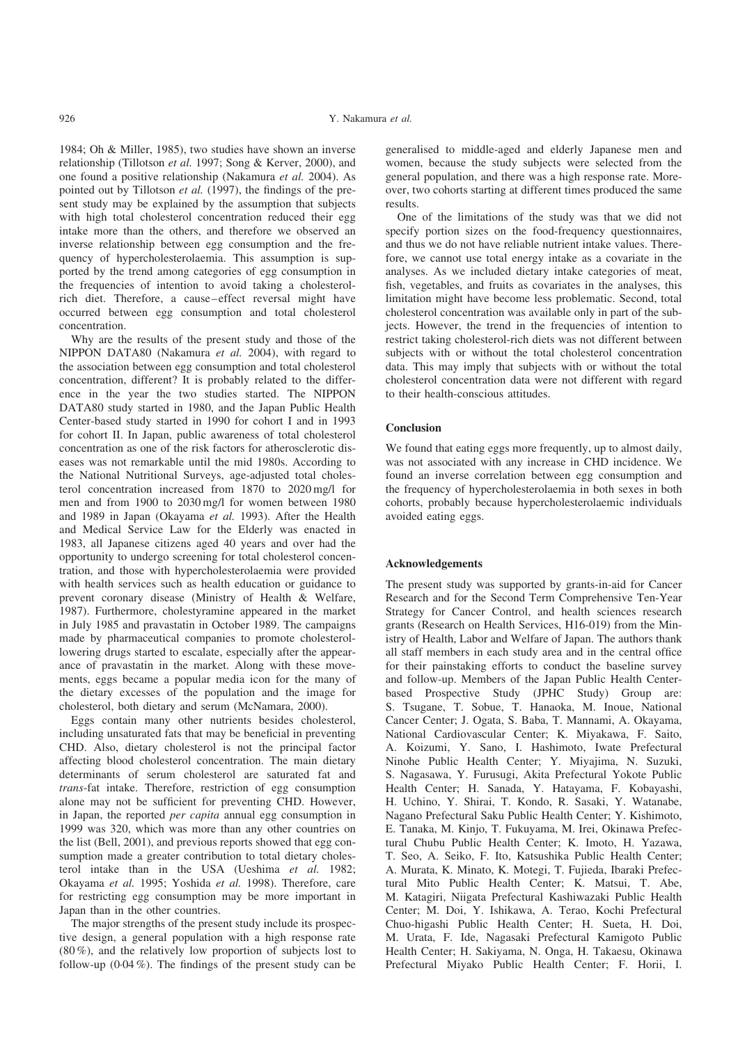1984; Oh & Miller, 1985), two studies have shown an inverse relationship (Tillotson et al. 1997; Song & Kerver, 2000), and one found a positive relationship (Nakamura et al. 2004). As pointed out by Tillotson et al. (1997), the findings of the present study may be explained by the assumption that subjects with high total cholesterol concentration reduced their egg intake more than the others, and therefore we observed an inverse relationship between egg consumption and the frequency of hypercholesterolaemia. This assumption is supported by the trend among categories of egg consumption in the frequencies of intention to avoid taking a cholesterolrich diet. Therefore, a cause–effect reversal might have occurred between egg consumption and total cholesterol concentration.

Why are the results of the present study and those of the NIPPON DATA80 (Nakamura et al. 2004), with regard to the association between egg consumption and total cholesterol concentration, different? It is probably related to the difference in the year the two studies started. The NIPPON DATA80 study started in 1980, and the Japan Public Health Center-based study started in 1990 for cohort I and in 1993 for cohort II. In Japan, public awareness of total cholesterol concentration as one of the risk factors for atherosclerotic diseases was not remarkable until the mid 1980s. According to the National Nutritional Surveys, age-adjusted total cholesterol concentration increased from 1870 to 2020 mg/l for men and from 1900 to 2030 mg/l for women between 1980 and 1989 in Japan (Okayama et al. 1993). After the Health and Medical Service Law for the Elderly was enacted in 1983, all Japanese citizens aged 40 years and over had the opportunity to undergo screening for total cholesterol concentration, and those with hypercholesterolaemia were provided with health services such as health education or guidance to prevent coronary disease (Ministry of Health & Welfare, 1987). Furthermore, cholestyramine appeared in the market in July 1985 and pravastatin in October 1989. The campaigns made by pharmaceutical companies to promote cholesterollowering drugs started to escalate, especially after the appearance of pravastatin in the market. Along with these movements, eggs became a popular media icon for the many of the dietary excesses of the population and the image for cholesterol, both dietary and serum (McNamara, 2000).

Eggs contain many other nutrients besides cholesterol, including unsaturated fats that may be beneficial in preventing CHD. Also, dietary cholesterol is not the principal factor affecting blood cholesterol concentration. The main dietary determinants of serum cholesterol are saturated fat and trans-fat intake. Therefore, restriction of egg consumption alone may not be sufficient for preventing CHD. However, in Japan, the reported per capita annual egg consumption in 1999 was 320, which was more than any other countries on the list (Bell, 2001), and previous reports showed that egg consumption made a greater contribution to total dietary cholesterol intake than in the USA (Ueshima et al. 1982; Okayama et al. 1995; Yoshida et al. 1998). Therefore, care for restricting egg consumption may be more important in Japan than in the other countries.

The major strengths of the present study include its prospective design, a general population with a high response rate (80 %), and the relatively low proportion of subjects lost to follow-up (0·04 %). The findings of the present study can be

generalised to middle-aged and elderly Japanese men and women, because the study subjects were selected from the general population, and there was a high response rate. Moreover, two cohorts starting at different times produced the same results.

One of the limitations of the study was that we did not specify portion sizes on the food-frequency questionnaires, and thus we do not have reliable nutrient intake values. Therefore, we cannot use total energy intake as a covariate in the analyses. As we included dietary intake categories of meat, fish, vegetables, and fruits as covariates in the analyses, this limitation might have become less problematic. Second, total cholesterol concentration was available only in part of the subjects. However, the trend in the frequencies of intention to restrict taking cholesterol-rich diets was not different between subjects with or without the total cholesterol concentration data. This may imply that subjects with or without the total cholesterol concentration data were not different with regard to their health-conscious attitudes.

# **Conclusion**

We found that eating eggs more frequently, up to almost daily, was not associated with any increase in CHD incidence. We found an inverse correlation between egg consumption and the frequency of hypercholesterolaemia in both sexes in both cohorts, probably because hypercholesterolaemic individuals avoided eating eggs.

## Acknowledgements

The present study was supported by grants-in-aid for Cancer Research and for the Second Term Comprehensive Ten-Year Strategy for Cancer Control, and health sciences research grants (Research on Health Services, H16-019) from the Ministry of Health, Labor and Welfare of Japan. The authors thank all staff members in each study area and in the central office for their painstaking efforts to conduct the baseline survey and follow-up. Members of the Japan Public Health Centerbased Prospective Study (JPHC Study) Group are: S. Tsugane, T. Sobue, T. Hanaoka, M. Inoue, National Cancer Center; J. Ogata, S. Baba, T. Mannami, A. Okayama, National Cardiovascular Center; K. Miyakawa, F. Saito, A. Koizumi, Y. Sano, I. Hashimoto, Iwate Prefectural Ninohe Public Health Center; Y. Miyajima, N. Suzuki, S. Nagasawa, Y. Furusugi, Akita Prefectural Yokote Public Health Center; H. Sanada, Y. Hatayama, F. Kobayashi, H. Uchino, Y. Shirai, T. Kondo, R. Sasaki, Y. Watanabe, Nagano Prefectural Saku Public Health Center; Y. Kishimoto, E. Tanaka, M. Kinjo, T. Fukuyama, M. Irei, Okinawa Prefectural Chubu Public Health Center; K. Imoto, H. Yazawa, T. Seo, A. Seiko, F. Ito, Katsushika Public Health Center; A. Murata, K. Minato, K. Motegi, T. Fujieda, Ibaraki Prefectural Mito Public Health Center; K. Matsui, T. Abe, M. Katagiri, Niigata Prefectural Kashiwazaki Public Health Center; M. Doi, Y. Ishikawa, A. Terao, Kochi Prefectural Chuo-higashi Public Health Center; H. Sueta, H. Doi, M. Urata, F. Ide, Nagasaki Prefectural Kamigoto Public Health Center; H. Sakiyama, N. Onga, H. Takaesu, Okinawa Prefectural Miyako Public Health Center; F. Horii, I.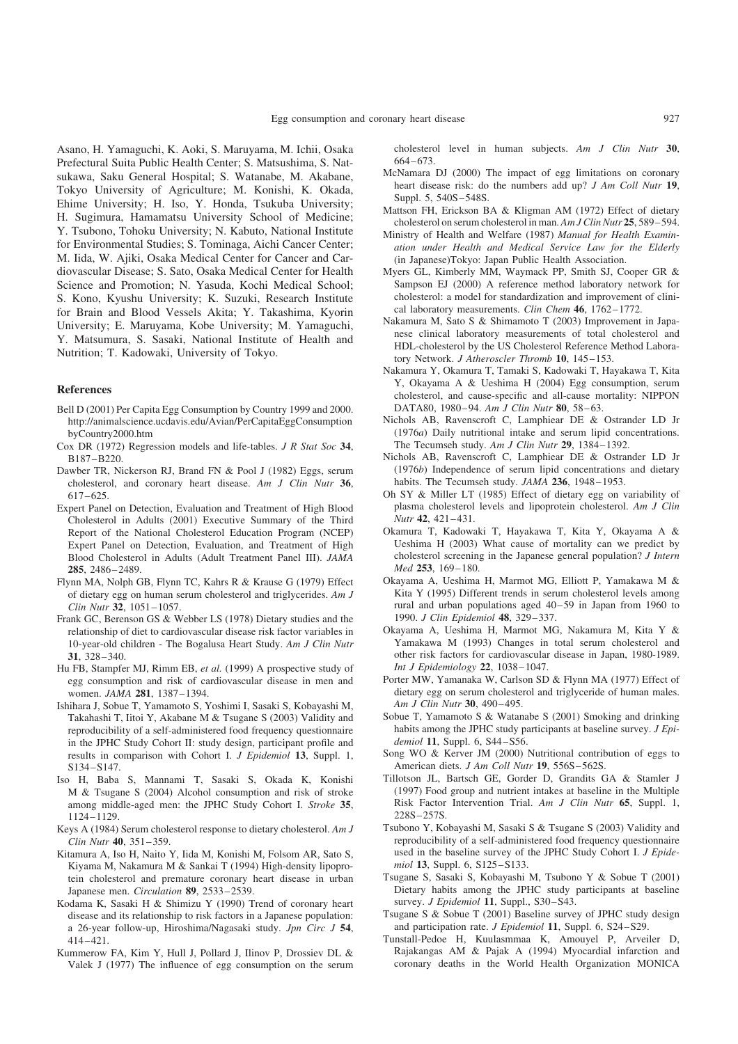Asano, H. Yamaguchi, K. Aoki, S. Maruyama, M. Ichii, Osaka Prefectural Suita Public Health Center; S. Matsushima, S. Natsukawa, Saku General Hospital; S. Watanabe, M. Akabane, Tokyo University of Agriculture; M. Konishi, K. Okada, Ehime University; H. Iso, Y. Honda, Tsukuba University; H. Sugimura, Hamamatsu University School of Medicine; Y. Tsubono, Tohoku University; N. Kabuto, National Institute for Environmental Studies; S. Tominaga, Aichi Cancer Center; M. Iida, W. Ajiki, Osaka Medical Center for Cancer and Cardiovascular Disease; S. Sato, Osaka Medical Center for Health Science and Promotion; N. Yasuda, Kochi Medical School; S. Kono, Kyushu University; K. Suzuki, Research Institute for Brain and Blood Vessels Akita; Y. Takashima, Kyorin University; E. Maruyama, Kobe University; M. Yamaguchi, Y. Matsumura, S. Sasaki, National Institute of Health and Nutrition; T. Kadowaki, University of Tokyo.

#### References

- Bell D (2001) Per Capita Egg Consumption by Country 1999 and 2000. http://animalscience.ucdavis.edu/Avian/PerCapitaEggConsumption byCountry2000.htm
- Cox DR (1972) Regression models and life-tables. J R Stat Soc 34, B187–B220.
- Dawber TR, Nickerson RJ, Brand FN & Pool J (1982) Eggs, serum cholesterol, and coronary heart disease. Am J Clin Nutr 36, 617–625.
- Expert Panel on Detection, Evaluation and Treatment of High Blood Cholesterol in Adults (2001) Executive Summary of the Third Report of the National Cholesterol Education Program (NCEP) Expert Panel on Detection, Evaluation, and Treatment of High Blood Cholesterol in Adults (Adult Treatment Panel III). JAMA 285, 2486–2489.
- Flynn MA, Nolph GB, Flynn TC, Kahrs R & Krause G (1979) Effect of dietary egg on human serum cholesterol and triglycerides. Am J Clin Nutr 32, 1051–1057.
- Frank GC, Berenson GS & Webber LS (1978) Dietary studies and the relationship of diet to cardiovascular disease risk factor variables in 10-year-old children - The Bogalusa Heart Study. Am J Clin Nutr 31, 328–340.
- Hu FB, Stampfer MJ, Rimm EB, et al. (1999) A prospective study of egg consumption and risk of cardiovascular disease in men and women. JAMA 281, 1387–1394.
- Ishihara J, Sobue T, Yamamoto S, Yoshimi I, Sasaki S, Kobayashi M, Takahashi T, Iitoi Y, Akabane M & Tsugane S (2003) Validity and reproducibility of a self-administered food frequency questionnaire in the JPHC Study Cohort II: study design, participant profile and results in comparison with Cohort I. J Epidemiol 13, Suppl. 1, S134–S147.
- Iso H, Baba S, Mannami T, Sasaki S, Okada K, Konishi M & Tsugane S (2004) Alcohol consumption and risk of stroke among middle-aged men: the JPHC Study Cohort I. Stroke 35, 1124–1129.
- Keys A (1984) Serum cholesterol response to dietary cholesterol. Am J Clin Nutr 40, 351–359.
- Kitamura A, Iso H, Naito Y, Iida M, Konishi M, Folsom AR, Sato S, Kiyama M, Nakamura M & Sankai T (1994) High-density lipoprotein cholesterol and premature coronary heart disease in urban Japanese men. Circulation 89, 2533–2539.
- Kodama K, Sasaki H & Shimizu Y (1990) Trend of coronary heart disease and its relationship to risk factors in a Japanese population: a 26-year follow-up, Hiroshima/Nagasaki study. Jpn Circ J 54, 414–421.
- Kummerow FA, Kim Y, Hull J, Pollard J, Ilinov P, Drossiev DL & Valek J (1977) The influence of egg consumption on the serum

cholesterol level in human subjects. Am J Clin Nutr 30, 664–673.

- McNamara DJ (2000) The impact of egg limitations on coronary heart disease risk: do the numbers add up? *J Am Coll Nutr* 19, Suppl. 5, 540S–548S.
- Mattson FH, Erickson BA & Kligman AM (1972) Effect of dietary cholesterol on serum cholesterol in man. Am J Clin Nutr 25, 589–594.
- Ministry of Health and Welfare (1987) Manual for Health Examination under Health and Medical Service Law for the Elderly (in Japanese)Tokyo: Japan Public Health Association.
- Myers GL, Kimberly MM, Waymack PP, Smith SJ, Cooper GR & Sampson EJ (2000) A reference method laboratory network for cholesterol: a model for standardization and improvement of clinical laboratory measurements. Clin Chem 46, 1762–1772.
- Nakamura M, Sato S & Shimamoto T (2003) Improvement in Japanese clinical laboratory measurements of total cholesterol and HDL-cholesterol by the US Cholesterol Reference Method Laboratory Network. J Atheroscler Thromb 10, 145-153.
- Nakamura Y, Okamura T, Tamaki S, Kadowaki T, Hayakawa T, Kita Y, Okayama A & Ueshima H (2004) Egg consumption, serum cholesterol, and cause-specific and all-cause mortality: NIPPON DATA80, 1980–94. Am J Clin Nutr 80, 58–63.
- Nichols AB, Ravenscroft C, Lamphiear DE & Ostrander LD Jr (1976a) Daily nutritional intake and serum lipid concentrations. The Tecumseh study. Am J Clin Nutr 29, 1384-1392.
- Nichols AB, Ravenscroft C, Lamphiear DE & Ostrander LD Jr (1976b) Independence of serum lipid concentrations and dietary habits. The Tecumseh study. JAMA 236, 1948-1953.
- Oh SY & Miller LT (1985) Effect of dietary egg on variability of plasma cholesterol levels and lipoprotein cholesterol. Am J Clin Nutr 42, 421–431.
- Okamura T, Kadowaki T, Hayakawa T, Kita Y, Okayama A & Ueshima H (2003) What cause of mortality can we predict by cholesterol screening in the Japanese general population? J Intern Med 253, 169–180.
- Okayama A, Ueshima H, Marmot MG, Elliott P, Yamakawa M & Kita Y (1995) Different trends in serum cholesterol levels among rural and urban populations aged 40–59 in Japan from 1960 to 1990. J Clin Epidemiol 48, 329–337.
- Okayama A, Ueshima H, Marmot MG, Nakamura M, Kita Y & Yamakawa M (1993) Changes in total serum cholesterol and other risk factors for cardiovascular disease in Japan, 1980-1989. Int J Epidemiology 22, 1038–1047.
- Porter MW, Yamanaka W, Carlson SD & Flynn MA (1977) Effect of dietary egg on serum cholesterol and triglyceride of human males. Am J Clin Nutr 30, 490–495.
- Sobue T, Yamamoto S & Watanabe S (2001) Smoking and drinking habits among the JPHC study participants at baseline survey. J Epidemiol 11, Suppl. 6, S44–S56.
- Song WO & Kerver JM (2000) Nutritional contribution of eggs to American diets. J Am Coll Nutr 19, 556S–562S.
- Tillotson JL, Bartsch GE, Gorder D, Grandits GA & Stamler J (1997) Food group and nutrient intakes at baseline in the Multiple Risk Factor Intervention Trial. Am J Clin Nutr 65, Suppl. 1, 228S–257S.
- Tsubono Y, Kobayashi M, Sasaki S & Tsugane S (2003) Validity and reproducibility of a self-administered food frequency questionnaire used in the baseline survey of the JPHC Study Cohort I. J Epidemiol 13, Suppl. 6, S125–S133.
- Tsugane S, Sasaki S, Kobayashi M, Tsubono Y & Sobue T (2001) Dietary habits among the JPHC study participants at baseline survey. J Epidemiol 11, Suppl., S30-S43.
- Tsugane S & Sobue T (2001) Baseline survey of JPHC study design and participation rate. J Epidemiol 11, Suppl. 6, S24–S29.
- Tunstall-Pedoe H, Kuulasmmaa K, Amouyel P, Arveiler D, Rajakangas AM & Pajak A (1994) Myocardial infarction and coronary deaths in the World Health Organization MONICA